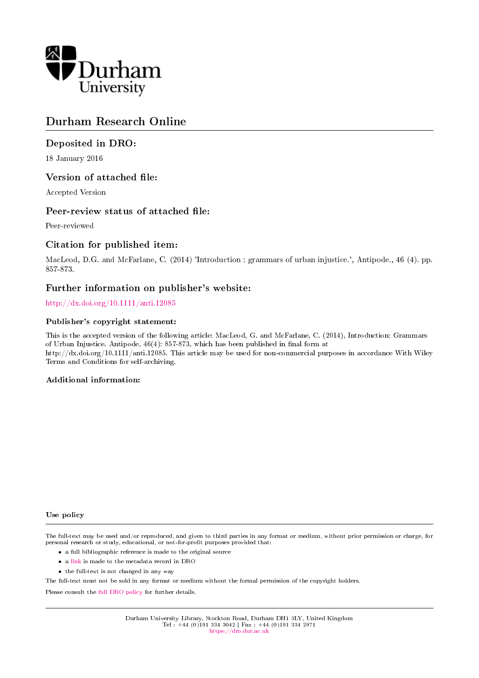

# Durham Research Online

## Deposited in DRO:

18 January 2016

## Version of attached file:

Accepted Version

### Peer-review status of attached file:

Peer-reviewed

## Citation for published item:

MacLeod, D.G. and McFarlane, C. (2014) 'Introduction : grammars of urban injustice.', Antipode., 46 (4). pp. 857-873.

## Further information on publisher's website:

#### <http://dx.doi.org/10.1111/anti.12085>

#### Publisher's copyright statement:

This is the accepted version of the following article: MacLeod, G. and McFarlane, C. (2014), Introduction: Grammars of Urban Injustice. Antipode, 46(4): 857-873, which has been published in final form at http://dx.doi.org/10.1111/anti.12085. This article may be used for non-commercial purposes in accordance With Wiley Terms and Conditions for self-archiving.

### Additional information:

#### Use policy

The full-text may be used and/or reproduced, and given to third parties in any format or medium, without prior permission or charge, for personal research or study, educational, or not-for-profit purposes provided that:

- a full bibliographic reference is made to the original source
- a [link](http://dro.dur.ac.uk/17191/) is made to the metadata record in DRO
- the full-text is not changed in any way

The full-text must not be sold in any format or medium without the formal permission of the copyright holders.

Please consult the [full DRO policy](https://dro.dur.ac.uk/policies/usepolicy.pdf) for further details.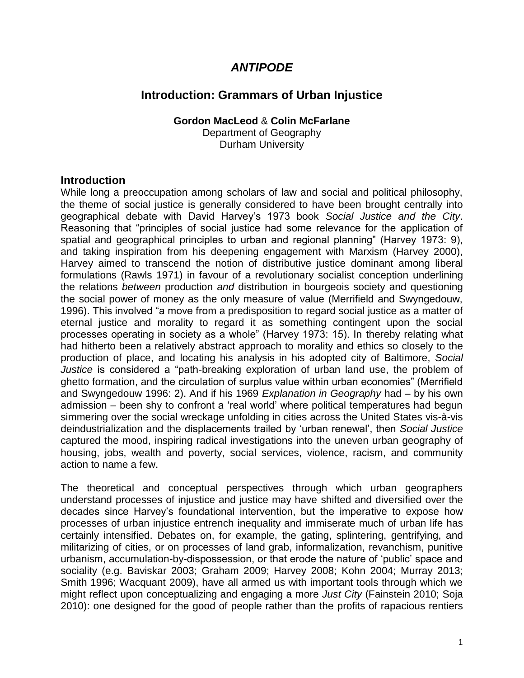# *ANTIPODE*

# **Introduction: Grammars of Urban Injustice**

## **Gordon MacLeod** & **Colin McFarlane** Department of Geography Durham University

## **Introduction**

While long a preoccupation among scholars of law and social and political philosophy, the theme of social justice is generally considered to have been brought centrally into geographical debate with David Harvey's 1973 book *Social Justice and the City*. Reasoning that "principles of social justice had some relevance for the application of spatial and geographical principles to urban and regional planning" (Harvey 1973: 9), and taking inspiration from his deepening engagement with Marxism (Harvey 2000), Harvey aimed to transcend the notion of distributive justice dominant among liberal formulations (Rawls 1971) in favour of a revolutionary socialist conception underlining the relations *between* production *and* distribution in bourgeois society and questioning the social power of money as the only measure of value (Merrifield and Swyngedouw, 1996). This involved "a move from a predisposition to regard social justice as a matter of eternal justice and morality to regard it as something contingent upon the social processes operating in society as a whole" (Harvey 1973: 15). In thereby relating what had hitherto been a relatively abstract approach to morality and ethics so closely to the production of place, and locating his analysis in his adopted city of Baltimore, *Social Justice* is considered a "path-breaking exploration of urban land use, the problem of ghetto formation, and the circulation of surplus value within urban economies" (Merrifield and Swyngedouw 1996: 2). And if his 1969 *Explanation in Geography* had – by his own admission – been shy to confront a 'real world' where political temperatures had begun simmering over the social wreckage unfolding in cities across the United States vis-à-vis deindustrialization and the displacements trailed by 'urban renewal', then *Social Justice* captured the mood, inspiring radical investigations into the uneven urban geography of housing, jobs, wealth and poverty, social services, violence, racism, and community action to name a few.

The theoretical and conceptual perspectives through which urban geographers understand processes of injustice and justice may have shifted and diversified over the decades since Harvey's foundational intervention, but the imperative to expose how processes of urban injustice entrench inequality and immiserate much of urban life has certainly intensified. Debates on, for example, the gating, splintering, gentrifying, and militarizing of cities, or on processes of land grab, informalization, revanchism, punitive urbanism, accumulation-by-dispossession, or that erode the nature of 'public' space and sociality (e.g. Baviskar 2003; Graham 2009; Harvey 2008; Kohn 2004; Murray 2013; Smith 1996; Wacquant 2009), have all armed us with important tools through which we might reflect upon conceptualizing and engaging a more *Just City* (Fainstein 2010; Soja 2010): one designed for the good of people rather than the profits of rapacious rentiers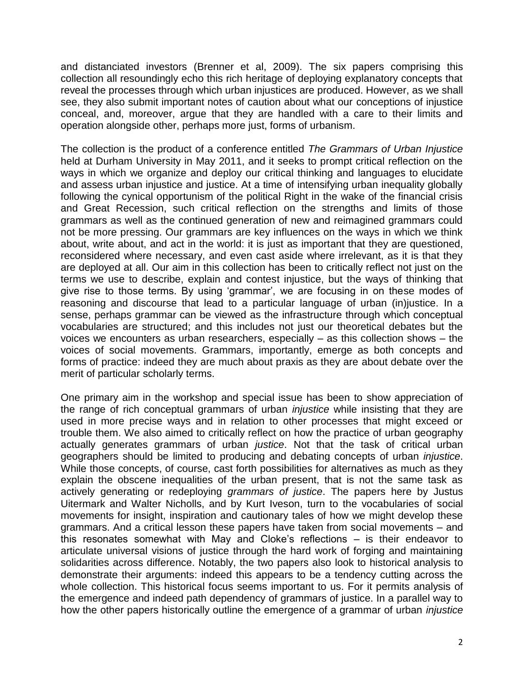and distanciated investors (Brenner et al, 2009). The six papers comprising this collection all resoundingly echo this rich heritage of deploying explanatory concepts that reveal the processes through which urban injustices are produced. However, as we shall see, they also submit important notes of caution about what our conceptions of injustice conceal, and, moreover, argue that they are handled with a care to their limits and operation alongside other, perhaps more just, forms of urbanism.

The collection is the product of a conference entitled *The Grammars of Urban Injustice* held at Durham University in May 2011, and it seeks to prompt critical reflection on the ways in which we organize and deploy our critical thinking and languages to elucidate and assess urban injustice and justice. At a time of intensifying urban inequality globally following the cynical opportunism of the political Right in the wake of the financial crisis and Great Recession, such critical reflection on the strengths and limits of those grammars as well as the continued generation of new and reimagined grammars could not be more pressing. Our grammars are key influences on the ways in which we think about, write about, and act in the world: it is just as important that they are questioned, reconsidered where necessary, and even cast aside where irrelevant, as it is that they are deployed at all. Our aim in this collection has been to critically reflect not just on the terms we use to describe, explain and contest injustice, but the ways of thinking that give rise to those terms. By using 'grammar', we are focusing in on these modes of reasoning and discourse that lead to a particular language of urban (in)justice. In a sense, perhaps grammar can be viewed as the infrastructure through which conceptual vocabularies are structured; and this includes not just our theoretical debates but the voices we encounters as urban researchers, especially – as this collection shows – the voices of social movements. Grammars, importantly, emerge as both concepts and forms of practice: indeed they are much about praxis as they are about debate over the merit of particular scholarly terms.

One primary aim in the workshop and special issue has been to show appreciation of the range of rich conceptual grammars of urban *injustice* while insisting that they are used in more precise ways and in relation to other processes that might exceed or trouble them. We also aimed to critically reflect on how the practice of urban geography actually generates grammars of urban *justice*. Not that the task of critical urban geographers should be limited to producing and debating concepts of urban *injustice*. While those concepts, of course, cast forth possibilities for alternatives as much as they explain the obscene inequalities of the urban present, that is not the same task as actively generating or redeploying *grammars of justice*. The papers here by Justus Uitermark and Walter Nicholls, and by Kurt Iveson, turn to the vocabularies of social movements for insight, inspiration and cautionary tales of how we might develop these grammars. And a critical lesson these papers have taken from social movements – and this resonates somewhat with May and Cloke's reflections – is their endeavor to articulate universal visions of justice through the hard work of forging and maintaining solidarities across difference. Notably, the two papers also look to historical analysis to demonstrate their arguments: indeed this appears to be a tendency cutting across the whole collection. This historical focus seems important to us. For it permits analysis of the emergence and indeed path dependency of grammars of justice. In a parallel way to how the other papers historically outline the emergence of a grammar of urban *injustice*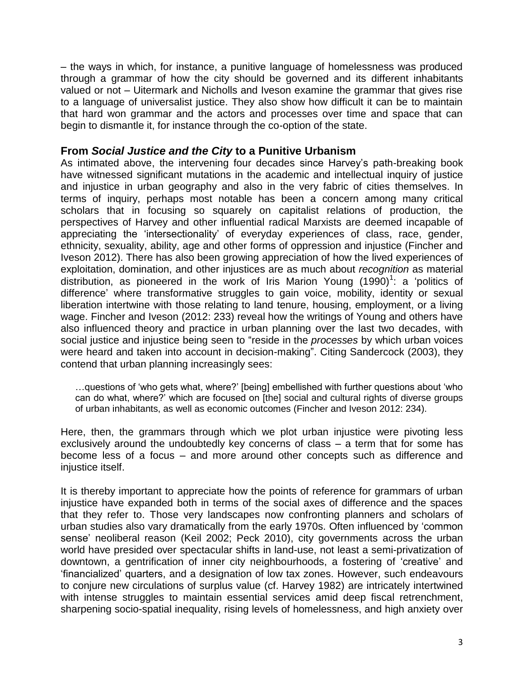– the ways in which, for instance, a punitive language of homelessness was produced through a grammar of how the city should be governed and its different inhabitants valued or not – Uitermark and Nicholls and Iveson examine the grammar that gives rise to a language of universalist justice. They also show how difficult it can be to maintain that hard won grammar and the actors and processes over time and space that can begin to dismantle it, for instance through the co-option of the state.

# **From** *Social Justice and the City* **to a Punitive Urbanism**

As intimated above, the intervening four decades since Harvey's path-breaking book have witnessed significant mutations in the academic and intellectual inquiry of justice and injustice in urban geography and also in the very fabric of cities themselves. In terms of inquiry, perhaps most notable has been a concern among many critical scholars that in focusing so squarely on capitalist relations of production, the perspectives of Harvey and other influential radical Marxists are deemed incapable of appreciating the 'intersectionality' of everyday experiences of class, race, gender, ethnicity, sexuality, ability, age and other forms of oppression and injustice (Fincher and Iveson 2012). There has also been growing appreciation of how the lived experiences of exploitation, domination, and other injustices are as much about *recognition* as material distribution, as pioneered in the work of Iris Marion Young  $(1990)^1$ : a 'politics of difference' where transformative struggles to gain voice, mobility, identity or sexual liberation intertwine with those relating to land tenure, housing, employment, or a living wage. Fincher and Iveson (2012: 233) reveal how the writings of Young and others have also influenced theory and practice in urban planning over the last two decades, with social justice and injustice being seen to "reside in the *processes* by which urban voices were heard and taken into account in decision-making". Citing Sandercock (2003), they contend that urban planning increasingly sees:

…questions of 'who gets what, where?' [being] embellished with further questions about 'who can do what, where?' which are focused on [the] social and cultural rights of diverse groups of urban inhabitants, as well as economic outcomes (Fincher and Iveson 2012: 234).

Here, then, the grammars through which we plot urban injustice were pivoting less exclusively around the undoubtedly key concerns of class – a term that for some has become less of a focus – and more around other concepts such as difference and injustice itself.

It is thereby important to appreciate how the points of reference for grammars of urban injustice have expanded both in terms of the social axes of difference and the spaces that they refer to. Those very landscapes now confronting planners and scholars of urban studies also vary dramatically from the early 1970s. Often influenced by 'common sense' neoliberal reason (Keil 2002; Peck 2010), city governments across the urban world have presided over spectacular shifts in land-use, not least a semi-privatization of downtown, a gentrification of inner city neighbourhoods, a fostering of 'creative' and 'financialized' quarters, and a designation of low tax zones. However, such endeavours to conjure new circulations of surplus value (cf. Harvey 1982) are intricately intertwined with intense struggles to maintain essential services amid deep fiscal retrenchment, sharpening socio-spatial inequality, rising levels of homelessness, and high anxiety over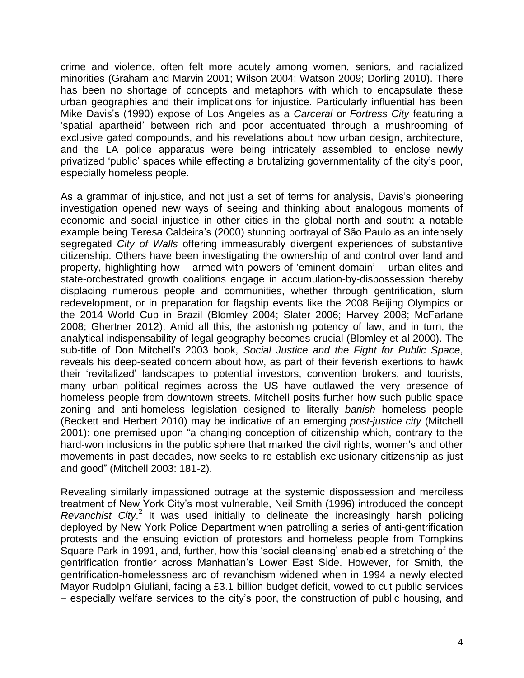crime and violence, often felt more acutely among women, seniors, and racialized minorities (Graham and Marvin 2001; Wilson 2004; Watson 2009; Dorling 2010). There has been no shortage of concepts and metaphors with which to encapsulate these urban geographies and their implications for injustice. Particularly influential has been Mike Davis's (1990) expose of Los Angeles as a *Carceral* or *Fortress City* featuring a 'spatial apartheid' between rich and poor accentuated through a mushrooming of exclusive gated compounds, and his revelations about how urban design, architecture, and the LA police apparatus were being intricately assembled to enclose newly privatized 'public' spaces while effecting a brutalizing governmentality of the city's poor, especially homeless people.

As a grammar of injustice, and not just a set of terms for analysis, Davis's pioneering investigation opened new ways of seeing and thinking about analogous moments of economic and social injustice in other cities in the global north and south: a notable example being Teresa Caldeira's (2000) stunning portrayal of São Paulo as an intensely segregated *City of Walls* offering immeasurably divergent experiences of substantive citizenship. Others have been investigating the ownership of and control over land and property, highlighting how – armed with powers of 'eminent domain' – urban elites and state-orchestrated growth coalitions engage in accumulation-by-dispossession thereby displacing numerous people and communities, whether through gentrification, slum redevelopment, or in preparation for flagship events like the 2008 Beijing Olympics or the 2014 World Cup in Brazil (Blomley 2004; Slater 2006; Harvey 2008; McFarlane 2008; Ghertner 2012). Amid all this, the astonishing potency of law, and in turn, the analytical indispensability of legal geography becomes crucial (Blomley et al 2000). The sub-title of Don Mitchell's 2003 book, *Social Justice and the Fight for Public Space*, reveals his deep-seated concern about how, as part of their feverish exertions to hawk their 'revitalized' landscapes to potential investors, convention brokers, and tourists, many urban political regimes across the US have outlawed the very presence of homeless people from downtown streets. Mitchell posits further how such public space zoning and anti-homeless legislation designed to literally *banish* homeless people (Beckett and Herbert 2010) may be indicative of an emerging *post-justice city* (Mitchell 2001): one premised upon "a changing conception of citizenship which, contrary to the hard-won inclusions in the public sphere that marked the civil rights, women's and other movements in past decades, now seeks to re-establish exclusionary citizenship as just and good" (Mitchell 2003: 181-2).

Revealing similarly impassioned outrage at the systemic dispossession and merciless treatment of New York City's most vulnerable, Neil Smith (1996) introduced the concept Revanchist City.<sup>2</sup> It was used initially to delineate the increasingly harsh policing deployed by New York Police Department when patrolling a series of anti-gentrification protests and the ensuing eviction of protestors and homeless people from Tompkins Square Park in 1991, and, further, how this 'social cleansing' enabled a stretching of the gentrification frontier across Manhattan's Lower East Side. However, for Smith, the gentrification-homelessness arc of revanchism widened when in 1994 a newly elected Mayor Rudolph Giuliani, facing a £3.1 billion budget deficit, vowed to cut public services – especially welfare services to the city's poor, the construction of public housing, and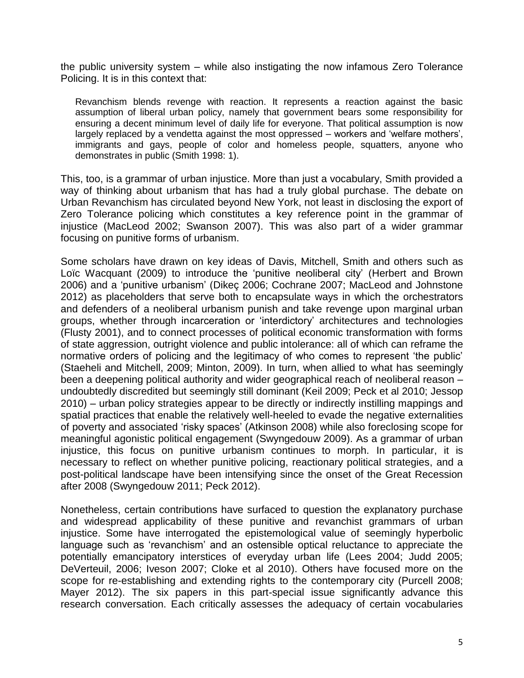the public university system – while also instigating the now infamous Zero Tolerance Policing. It is in this context that:

Revanchism blends revenge with reaction. It represents a reaction against the basic assumption of liberal urban policy, namely that government bears some responsibility for ensuring a decent minimum level of daily life for everyone. That political assumption is now largely replaced by a vendetta against the most oppressed – workers and 'welfare mothers', immigrants and gays, people of color and homeless people, squatters, anyone who demonstrates in public (Smith 1998: 1).

This, too, is a grammar of urban injustice. More than just a vocabulary, Smith provided a way of thinking about urbanism that has had a truly global purchase. The debate on Urban Revanchism has circulated beyond New York, not least in disclosing the export of Zero Tolerance policing which constitutes a key reference point in the grammar of injustice (MacLeod 2002; Swanson 2007). This was also part of a wider grammar focusing on punitive forms of urbanism.

Some scholars have drawn on key ideas of Davis, Mitchell, Smith and others such as Loïc Wacquant (2009) to introduce the 'punitive neoliberal city' (Herbert and Brown 2006) and a 'punitive urbanism' (Dikeç 2006; Cochrane 2007; MacLeod and Johnstone 2012) as placeholders that serve both to encapsulate ways in which the orchestrators and defenders of a neoliberal urbanism punish and take revenge upon marginal urban groups, whether through incarceration or 'interdictory' architectures and technologies (Flusty 2001), and to connect processes of political economic transformation with forms of state aggression, outright violence and public intolerance: all of which can reframe the normative orders of policing and the legitimacy of who comes to represent 'the public' (Staeheli and Mitchell, 2009; Minton, 2009). In turn, when allied to what has seemingly been a deepening political authority and wider geographical reach of neoliberal reason – undoubtedly discredited but seemingly still dominant (Keil 2009; Peck et al 2010; Jessop 2010) – urban policy strategies appear to be directly or indirectly instilling mappings and spatial practices that enable the relatively well-heeled to evade the negative externalities of poverty and associated 'risky spaces' (Atkinson 2008) while also foreclosing scope for meaningful agonistic political engagement (Swyngedouw 2009). As a grammar of urban injustice, this focus on punitive urbanism continues to morph. In particular, it is necessary to reflect on whether punitive policing, reactionary political strategies, and a post-political landscape have been intensifying since the onset of the Great Recession after 2008 (Swyngedouw 2011; Peck 2012).

Nonetheless, certain contributions have surfaced to question the explanatory purchase and widespread applicability of these punitive and revanchist grammars of urban injustice. Some have interrogated the epistemological value of seemingly hyperbolic language such as 'revanchism' and an ostensible optical reluctance to appreciate the potentially emancipatory interstices of everyday urban life (Lees 2004; Judd 2005; DeVerteuil, 2006; Iveson 2007; Cloke et al 2010). Others have focused more on the scope for re-establishing and extending rights to the contemporary city (Purcell 2008; Mayer 2012). The six papers in this part-special issue significantly advance this research conversation. Each critically assesses the adequacy of certain vocabularies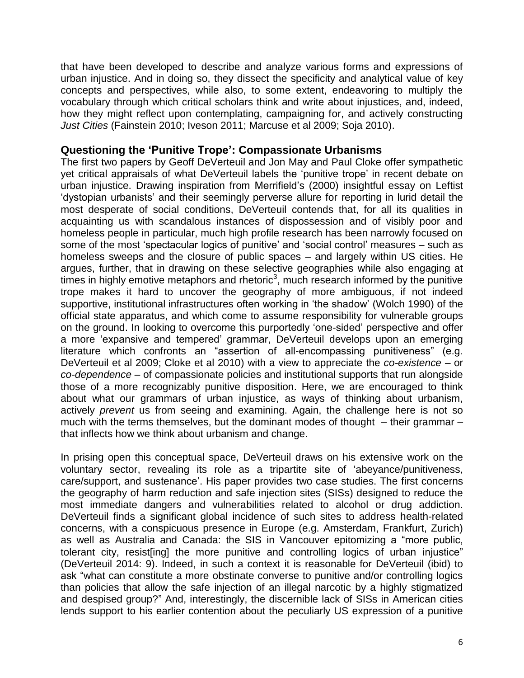that have been developed to describe and analyze various forms and expressions of urban injustice. And in doing so, they dissect the specificity and analytical value of key concepts and perspectives, while also, to some extent, endeavoring to multiply the vocabulary through which critical scholars think and write about injustices, and, indeed, how they might reflect upon contemplating, campaigning for, and actively constructing *Just Cities* (Fainstein 2010; Iveson 2011; Marcuse et al 2009; Soja 2010).

# **Questioning the 'Punitive Trope': Compassionate Urbanisms**

The first two papers by Geoff DeVerteuil and Jon May and Paul Cloke offer sympathetic yet critical appraisals of what DeVerteuil labels the 'punitive trope' in recent debate on urban injustice. Drawing inspiration from Merrifield's (2000) insightful essay on Leftist 'dystopian urbanists' and their seemingly perverse allure for reporting in lurid detail the most desperate of social conditions, DeVerteuil contends that, for all its qualities in acquainting us with scandalous instances of dispossession and of visibly poor and homeless people in particular, much high profile research has been narrowly focused on some of the most 'spectacular logics of punitive' and 'social control' measures – such as homeless sweeps and the closure of public spaces – and largely within US cities. He argues, further, that in drawing on these selective geographies while also engaging at times in highly emotive metaphors and rhetoric<sup>3</sup>, much research informed by the punitive trope makes it hard to uncover the geography of more ambiguous, if not indeed supportive, institutional infrastructures often working in 'the shadow' (Wolch 1990) of the official state apparatus, and which come to assume responsibility for vulnerable groups on the ground. In looking to overcome this purportedly 'one-sided' perspective and offer a more 'expansive and tempered' grammar, DeVerteuil develops upon an emerging literature which confronts an "assertion of all-encompassing punitiveness" (e.g. DeVerteuil et al 2009; Cloke et al 2010) with a view to appreciate the *co-existence* – or *co-dependence* – of compassionate policies and institutional supports that run alongside those of a more recognizably punitive disposition. Here, we are encouraged to think about what our grammars of urban injustice, as ways of thinking about urbanism, actively *prevent* us from seeing and examining. Again, the challenge here is not so much with the terms themselves, but the dominant modes of thought  $-$  their grammar  $$ that inflects how we think about urbanism and change.

In prising open this conceptual space, DeVerteuil draws on his extensive work on the voluntary sector, revealing its role as a tripartite site of 'abeyance/punitiveness, care/support, and sustenance'. His paper provides two case studies. The first concerns the geography of harm reduction and safe injection sites (SISs) designed to reduce the most immediate dangers and vulnerabilities related to alcohol or drug addiction. DeVerteuil finds a significant global incidence of such sites to address health-related concerns, with a conspicuous presence in Europe (e.g. Amsterdam, Frankfurt, Zurich) as well as Australia and Canada: the SIS in Vancouver epitomizing a "more public, tolerant city, resist ingletion the more punitive and controlling logics of urban injustice" (DeVerteuil 2014: 9). Indeed, in such a context it is reasonable for DeVerteuil (ibid) to ask "what can constitute a more obstinate converse to punitive and/or controlling logics than policies that allow the safe injection of an illegal narcotic by a highly stigmatized and despised group?" And, interestingly, the discernible lack of SISs in American cities lends support to his earlier contention about the peculiarly US expression of a punitive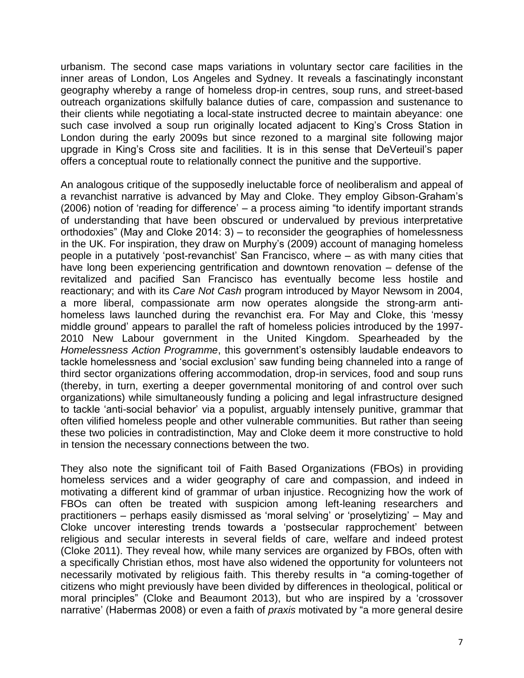urbanism. The second case maps variations in voluntary sector care facilities in the inner areas of London, Los Angeles and Sydney. It reveals a fascinatingly inconstant geography whereby a range of homeless drop-in centres, soup runs, and street-based outreach organizations skilfully balance duties of care, compassion and sustenance to their clients while negotiating a local-state instructed decree to maintain abeyance: one such case involved a soup run originally located adjacent to King's Cross Station in London during the early 2009s but since rezoned to a marginal site following major upgrade in King's Cross site and facilities. It is in this sense that DeVerteuil's paper offers a conceptual route to relationally connect the punitive and the supportive.

An analogous critique of the supposedly ineluctable force of neoliberalism and appeal of a revanchist narrative is advanced by May and Cloke. They employ Gibson-Graham's (2006) notion of 'reading for difference' – a process aiming "to identify important strands of understanding that have been obscured or undervalued by previous interpretative orthodoxies" (May and Cloke 2014: 3) – to reconsider the geographies of homelessness in the UK. For inspiration, they draw on Murphy's (2009) account of managing homeless people in a putatively 'post-revanchist' San Francisco, where – as with many cities that have long been experiencing gentrification and downtown renovation – defense of the revitalized and pacified San Francisco has eventually become less hostile and reactionary; and with its *Care Not Cash* program introduced by Mayor Newsom in 2004, a more liberal, compassionate arm now operates alongside the strong-arm antihomeless laws launched during the revanchist era. For May and Cloke, this 'messy middle ground' appears to parallel the raft of homeless policies introduced by the 1997- 2010 New Labour government in the United Kingdom. Spearheaded by the *Homelessness Action Programme*, this government's ostensibly laudable endeavors to tackle homelessness and 'social exclusion' saw funding being channeled into a range of third sector organizations offering accommodation, drop-in services, food and soup runs (thereby, in turn, exerting a deeper governmental monitoring of and control over such organizations) while simultaneously funding a policing and legal infrastructure designed to tackle 'anti-social behavior' via a populist, arguably intensely punitive, grammar that often vilified homeless people and other vulnerable communities. But rather than seeing these two policies in contradistinction, May and Cloke deem it more constructive to hold in tension the necessary connections between the two.

They also note the significant toil of Faith Based Organizations (FBOs) in providing homeless services and a wider geography of care and compassion, and indeed in motivating a different kind of grammar of urban injustice. Recognizing how the work of FBOs can often be treated with suspicion among left-leaning researchers and practitioners – perhaps easily dismissed as 'moral selving' or 'proselytizing' – May and Cloke uncover interesting trends towards a 'postsecular rapprochement' between religious and secular interests in several fields of care, welfare and indeed protest (Cloke 2011). They reveal how, while many services are organized by FBOs, often with a specifically Christian ethos, most have also widened the opportunity for volunteers not necessarily motivated by religious faith. This thereby results in "a coming-together of citizens who might previously have been divided by differences in theological, political or moral principles" (Cloke and Beaumont 2013), but who are inspired by a 'crossover narrative' (Habermas 2008) or even a faith of *praxis* motivated by "a more general desire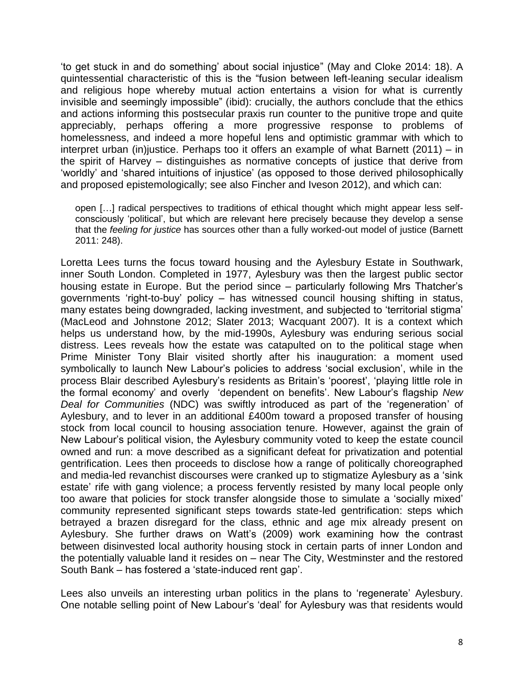'to get stuck in and do something' about social injustice" (May and Cloke 2014: 18). A quintessential characteristic of this is the "fusion between left-leaning secular idealism and religious hope whereby mutual action entertains a vision for what is currently invisible and seemingly impossible" (ibid): crucially, the authors conclude that the ethics and actions informing this postsecular praxis run counter to the punitive trope and quite appreciably, perhaps offering a more progressive response to problems of homelessness, and indeed a more hopeful lens and optimistic grammar with which to interpret urban (in)justice. Perhaps too it offers an example of what Barnett (2011) – in the spirit of Harvey – distinguishes as normative concepts of justice that derive from 'worldly' and 'shared intuitions of injustice' (as opposed to those derived philosophically and proposed epistemologically; see also Fincher and Iveson 2012), and which can:

open […] radical perspectives to traditions of ethical thought which might appear less selfconsciously 'political', but which are relevant here precisely because they develop a sense that the *feeling for justice* has sources other than a fully worked-out model of justice (Barnett 2011: 248).

Loretta Lees turns the focus toward housing and the Aylesbury Estate in Southwark, inner South London. Completed in 1977, Aylesbury was then the largest public sector housing estate in Europe. But the period since – particularly following Mrs Thatcher's governments 'right-to-buy' policy – has witnessed council housing shifting in status, many estates being downgraded, lacking investment, and subjected to 'territorial stigma' (MacLeod and Johnstone 2012; Slater 2013; Wacquant 2007). It is a context which helps us understand how, by the mid-1990s, Aylesbury was enduring serious social distress. Lees reveals how the estate was catapulted on to the political stage when Prime Minister Tony Blair visited shortly after his inauguration: a moment used symbolically to launch New Labour's policies to address 'social exclusion', while in the process Blair described Aylesbury's residents as Britain's 'poorest', 'playing little role in the formal economy' and overly 'dependent on benefits'. New Labour's flagship *New Deal for Communities* (NDC) was swiftly introduced as part of the 'regeneration' of Aylesbury, and to lever in an additional £400m toward a proposed transfer of housing stock from local council to housing association tenure. However, against the grain of New Labour's political vision, the Aylesbury community voted to keep the estate council owned and run: a move described as a significant defeat for privatization and potential gentrification. Lees then proceeds to disclose how a range of politically choreographed and media-led revanchist discourses were cranked up to stigmatize Aylesbury as a 'sink estate' rife with gang violence; a process fervently resisted by many local people only too aware that policies for stock transfer alongside those to simulate a 'socially mixed' community represented significant steps towards state-led gentrification: steps which betrayed a brazen disregard for the class, ethnic and age mix already present on Aylesbury. She further draws on Watt's (2009) work examining how the contrast between disinvested local authority housing stock in certain parts of inner London and the potentially valuable land it resides on – near The City, Westminster and the restored South Bank – has fostered a 'state-induced rent gap'.

Lees also unveils an interesting urban politics in the plans to 'regenerate' Aylesbury. One notable selling point of New Labour's 'deal' for Aylesbury was that residents would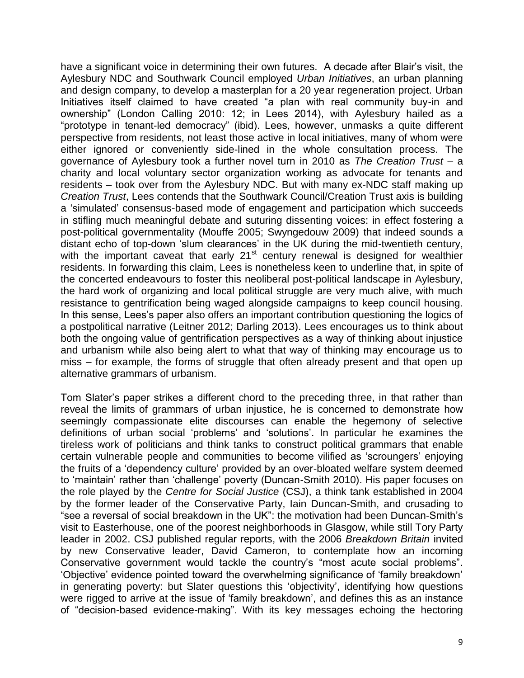have a significant voice in determining their own futures. A decade after Blair's visit, the Aylesbury NDC and Southwark Council employed *Urban Initiatives*, an urban planning and design company, to develop a masterplan for a 20 year regeneration project. Urban Initiatives itself claimed to have created "a plan with real community buy-in and ownership" (London Calling 2010: 12; in Lees 2014), with Aylesbury hailed as a "prototype in tenant-led democracy" (ibid). Lees, however, unmasks a quite different perspective from residents, not least those active in local initiatives, many of whom were either ignored or conveniently side-lined in the whole consultation process. The governance of Aylesbury took a further novel turn in 2010 as *The Creation Trust* – a charity and local voluntary sector organization working as advocate for tenants and residents – took over from the Aylesbury NDC. But with many ex-NDC staff making up *Creation Trust*, Lees contends that the Southwark Council/Creation Trust axis is building a 'simulated' consensus-based mode of engagement and participation which succeeds in stifling much meaningful debate and suturing dissenting voices: in effect fostering a post-political governmentality (Mouffe 2005; Swyngedouw 2009) that indeed sounds a distant echo of top-down 'slum clearances' in the UK during the mid-twentieth century, with the important caveat that early 21<sup>st</sup> century renewal is designed for wealthier residents. In forwarding this claim, Lees is nonetheless keen to underline that, in spite of the concerted endeavours to foster this neoliberal post-political landscape in Aylesbury, the hard work of organizing and local political struggle are very much alive, with much resistance to gentrification being waged alongside campaigns to keep council housing. In this sense, Lees's paper also offers an important contribution questioning the logics of a postpolitical narrative (Leitner 2012; Darling 2013). Lees encourages us to think about both the ongoing value of gentrification perspectives as a way of thinking about injustice and urbanism while also being alert to what that way of thinking may encourage us to miss – for example, the forms of struggle that often already present and that open up alternative grammars of urbanism.

Tom Slater's paper strikes a different chord to the preceding three, in that rather than reveal the limits of grammars of urban injustice, he is concerned to demonstrate how seemingly compassionate elite discourses can enable the hegemony of selective definitions of urban social 'problems' and 'solutions'. In particular he examines the tireless work of politicians and think tanks to construct political grammars that enable certain vulnerable people and communities to become vilified as 'scroungers' enjoying the fruits of a 'dependency culture' provided by an over-bloated welfare system deemed to 'maintain' rather than 'challenge' poverty (Duncan-Smith 2010). His paper focuses on the role played by the *Centre for Social Justice* (CSJ), a think tank established in 2004 by the former leader of the Conservative Party, Iain Duncan-Smith, and crusading to "see a reversal of social breakdown in the UK": the motivation had been Duncan-Smith's visit to Easterhouse, one of the poorest neighborhoods in Glasgow, while still Tory Party leader in 2002. CSJ published regular reports, with the 2006 *Breakdown Britain* invited by new Conservative leader, David Cameron, to contemplate how an incoming Conservative government would tackle the country's "most acute social problems". 'Objective' evidence pointed toward the overwhelming significance of 'family breakdown' in generating poverty: but Slater questions this 'objectivity', identifying how questions were rigged to arrive at the issue of 'family breakdown', and defines this as an instance of "decision-based evidence-making". With its key messages echoing the hectoring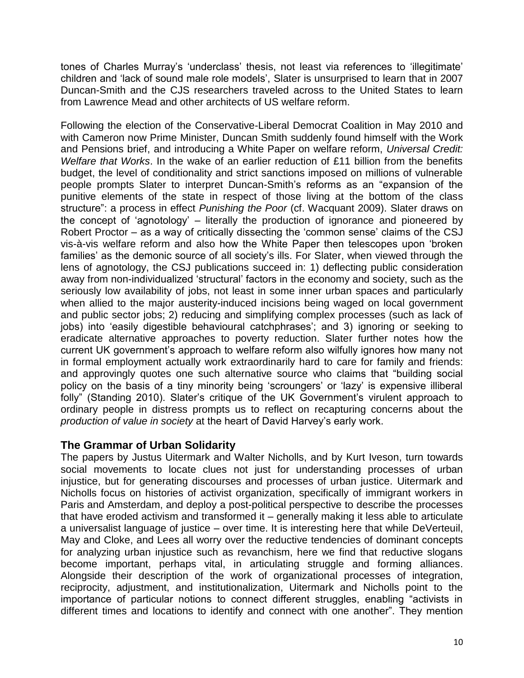tones of Charles Murray's 'underclass' thesis, not least via references to 'illegitimate' children and 'lack of sound male role models', Slater is unsurprised to learn that in 2007 Duncan-Smith and the CJS researchers traveled across to the United States to learn from Lawrence Mead and other architects of US welfare reform.

Following the election of the Conservative-Liberal Democrat Coalition in May 2010 and with Cameron now Prime Minister, Duncan Smith suddenly found himself with the Work and Pensions brief, and introducing a White Paper on welfare reform, *Universal Credit: Welfare that Works*. In the wake of an earlier reduction of £11 billion from the benefits budget, the level of conditionality and strict sanctions imposed on millions of vulnerable people prompts Slater to interpret Duncan-Smith's reforms as an "expansion of the punitive elements of the state in respect of those living at the bottom of the class structure": a process in effect *Punishing the Poor* (cf. Wacquant 2009). Slater draws on the concept of 'agnotology' – literally the production of ignorance and pioneered by Robert Proctor – as a way of critically dissecting the 'common sense' claims of the CSJ vis-à-vis welfare reform and also how the White Paper then telescopes upon 'broken families' as the demonic source of all society's ills. For Slater, when viewed through the lens of agnotology, the CSJ publications succeed in: 1) deflecting public consideration away from non-individualized 'structural' factors in the economy and society, such as the seriously low availability of jobs, not least in some inner urban spaces and particularly when allied to the major austerity-induced incisions being waged on local government and public sector jobs; 2) reducing and simplifying complex processes (such as lack of jobs) into 'easily digestible behavioural catchphrases'; and 3) ignoring or seeking to eradicate alternative approaches to poverty reduction. Slater further notes how the current UK government's approach to welfare reform also wilfully ignores how many not in formal employment actually work extraordinarily hard to care for family and friends: and approvingly quotes one such alternative source who claims that "building social policy on the basis of a tiny minority being 'scroungers' or 'lazy' is expensive illiberal folly" (Standing 2010). Slater's critique of the UK Government's virulent approach to ordinary people in distress prompts us to reflect on recapturing concerns about the *production of value in society* at the heart of David Harvey's early work.

# **The Grammar of Urban Solidarity**

The papers by Justus Uitermark and Walter Nicholls, and by Kurt Iveson, turn towards social movements to locate clues not just for understanding processes of urban injustice, but for generating discourses and processes of urban justice. Uitermark and Nicholls focus on histories of activist organization, specifically of immigrant workers in Paris and Amsterdam, and deploy a post-political perspective to describe the processes that have eroded activism and transformed it – generally making it less able to articulate a universalist language of justice – over time. It is interesting here that while DeVerteuil, May and Cloke, and Lees all worry over the reductive tendencies of dominant concepts for analyzing urban injustice such as revanchism, here we find that reductive slogans become important, perhaps vital, in articulating struggle and forming alliances. Alongside their description of the work of organizational processes of integration, reciprocity, adjustment, and institutionalization, Uitermark and Nicholls point to the importance of particular notions to connect different struggles, enabling "activists in different times and locations to identify and connect with one another". They mention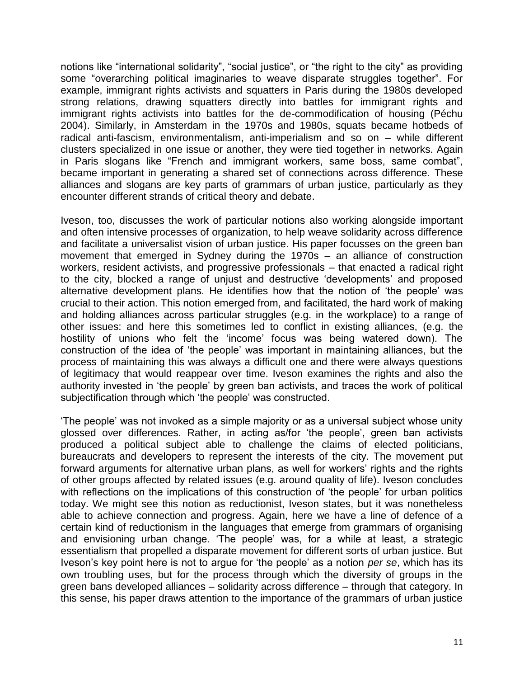notions like "international solidarity", "social justice", or "the right to the city" as providing some "overarching political imaginaries to weave disparate struggles together". For example, immigrant rights activists and squatters in Paris during the 1980s developed strong relations, drawing squatters directly into battles for immigrant rights and immigrant rights activists into battles for the de-commodification of housing (Péchu 2004). Similarly, in Amsterdam in the 1970s and 1980s, squats became hotbeds of radical anti-fascism, environmentalism, anti-imperialism and so on – while different clusters specialized in one issue or another, they were tied together in networks. Again in Paris slogans like "French and immigrant workers, same boss, same combat", became important in generating a shared set of connections across difference. These alliances and slogans are key parts of grammars of urban justice, particularly as they encounter different strands of critical theory and debate.

Iveson, too, discusses the work of particular notions also working alongside important and often intensive processes of organization, to help weave solidarity across difference and facilitate a universalist vision of urban justice. His paper focusses on the green ban movement that emerged in Sydney during the 1970s – an alliance of construction workers, resident activists, and progressive professionals – that enacted a radical right to the city, blocked a range of unjust and destructive 'developments' and proposed alternative development plans. He identifies how that the notion of 'the people' was crucial to their action. This notion emerged from, and facilitated, the hard work of making and holding alliances across particular struggles (e.g. in the workplace) to a range of other issues: and here this sometimes led to conflict in existing alliances, (e.g. the hostility of unions who felt the 'income' focus was being watered down). The construction of the idea of 'the people' was important in maintaining alliances, but the process of maintaining this was always a difficult one and there were always questions of legitimacy that would reappear over time. Iveson examines the rights and also the authority invested in 'the people' by green ban activists, and traces the work of political subjectification through which 'the people' was constructed.

'The people' was not invoked as a simple majority or as a universal subject whose unity glossed over differences. Rather, in acting as/for 'the people', green ban activists produced a political subject able to challenge the claims of elected politicians, bureaucrats and developers to represent the interests of the city. The movement put forward arguments for alternative urban plans, as well for workers' rights and the rights of other groups affected by related issues (e.g. around quality of life). Iveson concludes with reflections on the implications of this construction of 'the people' for urban politics today. We might see this notion as reductionist, Iveson states, but it was nonetheless able to achieve connection and progress. Again, here we have a line of defence of a certain kind of reductionism in the languages that emerge from grammars of organising and envisioning urban change. 'The people' was, for a while at least, a strategic essentialism that propelled a disparate movement for different sorts of urban justice. But Iveson's key point here is not to argue for 'the people' as a notion *per se*, which has its own troubling uses, but for the process through which the diversity of groups in the green bans developed alliances – solidarity across difference – through that category. In this sense, his paper draws attention to the importance of the grammars of urban justice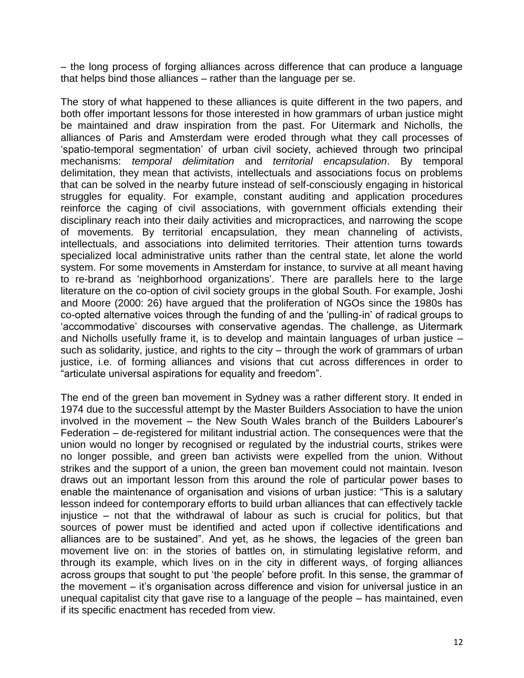– the long process of forging alliances across difference that can produce a language that helps bind those alliances – rather than the language per se.

The story of what happened to these alliances is quite different in the two papers, and both offer important lessons for those interested in how grammars of urban justice might be maintained and draw inspiration from the past. For Uitermark and Nicholls, the alliances of Paris and Amsterdam were eroded through what they call processes of 'spatio-temporal segmentation' of urban civil society, achieved through two principal mechanisms: *temporal delimitation* and *territorial encapsulation*. By temporal delimitation, they mean that activists, intellectuals and associations focus on problems that can be solved in the nearby future instead of self-consciously engaging in historical struggles for equality. For example, constant auditing and application procedures reinforce the caging of civil associations, with government officials extending their disciplinary reach into their daily activities and micropractices, and narrowing the scope of movements. By territorial encapsulation, they mean channeling of activists, intellectuals, and associations into delimited territories. Their attention turns towards specialized local administrative units rather than the central state, let alone the world system. For some movements in Amsterdam for instance, to survive at all meant having to re-brand as 'neighborhood organizations'. There are parallels here to the large literature on the co-option of civil society groups in the global South. For example, Joshi and Moore (2000: 26) have argued that the proliferation of NGOs since the 1980s has co-opted alternative voices through the funding of and the 'pulling-in' of radical groups to 'accommodative' discourses with conservative agendas. The challenge, as Uitermark and Nicholls usefully frame it, is to develop and maintain languages of urban justice – such as solidarity, justice, and rights to the city – through the work of grammars of urban justice, i.e. of forming alliances and visions that cut across differences in order to "articulate universal aspirations for equality and freedom".

The end of the green ban movement in Sydney was a rather different story. It ended in 1974 due to the successful attempt by the Master Builders Association to have the union involved in the movement – the New South Wales branch of the Builders Labourer's Federation – de-registered for militant industrial action. The consequences were that the union would no longer by recognised or regulated by the industrial courts, strikes were no longer possible, and green ban activists were expelled from the union. Without strikes and the support of a union, the green ban movement could not maintain. Iveson draws out an important lesson from this around the role of particular power bases to enable the maintenance of organisation and visions of urban justice: "This is a salutary lesson indeed for contemporary efforts to build urban alliances that can effectively tackle injustice – not that the withdrawal of labour as such is crucial for politics, but that sources of power must be identified and acted upon if collective identifications and alliances are to be sustained". And yet, as he shows, the legacies of the green ban movement live on: in the stories of battles on, in stimulating legislative reform, and through its example, which lives on in the city in different ways, of forging alliances across groups that sought to put 'the people' before profit. In this sense, the grammar of the movement – it's organisation across difference and vision for universal justice in an unequal capitalist city that gave rise to a language of the people – has maintained, even if its specific enactment has receded from view.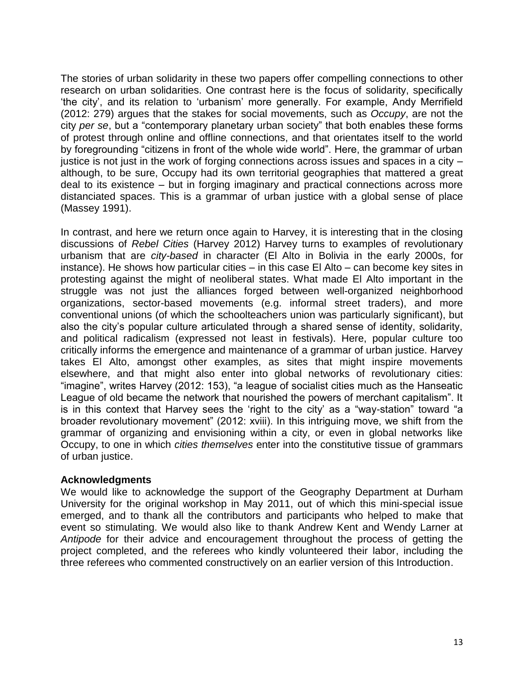The stories of urban solidarity in these two papers offer compelling connections to other research on urban solidarities. One contrast here is the focus of solidarity, specifically 'the city', and its relation to 'urbanism' more generally. For example, Andy Merrifield (2012: 279) argues that the stakes for social movements, such as *Occupy*, are not the city *per se*, but a "contemporary planetary urban society" that both enables these forms of protest through online and offline connections, and that orientates itself to the world by foregrounding "citizens in front of the whole wide world". Here, the grammar of urban justice is not just in the work of forging connections across issues and spaces in a city – although, to be sure, Occupy had its own territorial geographies that mattered a great deal to its existence – but in forging imaginary and practical connections across more distanciated spaces. This is a grammar of urban justice with a global sense of place (Massey 1991).

In contrast, and here we return once again to Harvey, it is interesting that in the closing discussions of *Rebel Cities* (Harvey 2012) Harvey turns to examples of revolutionary urbanism that are *city-based* in character (El Alto in Bolivia in the early 2000s, for instance). He shows how particular cities – in this case El Alto – can become key sites in protesting against the might of neoliberal states. What made El Alto important in the struggle was not just the alliances forged between well-organized neighborhood organizations, sector-based movements (e.g. informal street traders), and more conventional unions (of which the schoolteachers union was particularly significant), but also the city's popular culture articulated through a shared sense of identity, solidarity, and political radicalism (expressed not least in festivals). Here, popular culture too critically informs the emergence and maintenance of a grammar of urban justice. Harvey takes El Alto, amongst other examples, as sites that might inspire movements elsewhere, and that might also enter into global networks of revolutionary cities: "imagine", writes Harvey (2012: 153), "a league of socialist cities much as the Hanseatic League of old became the network that nourished the powers of merchant capitalism". It is in this context that Harvey sees the 'right to the city' as a "way-station" toward "a broader revolutionary movement" (2012: xviii). In this intriguing move, we shift from the grammar of organizing and envisioning within a city, or even in global networks like Occupy, to one in which *cities themselves* enter into the constitutive tissue of grammars of urban justice.

## **Acknowledgments**

We would like to acknowledge the support of the Geography Department at Durham University for the original workshop in May 2011, out of which this mini-special issue emerged, and to thank all the contributors and participants who helped to make that event so stimulating. We would also like to thank Andrew Kent and Wendy Larner at *Antipode* for their advice and encouragement throughout the process of getting the project completed, and the referees who kindly volunteered their labor, including the three referees who commented constructively on an earlier version of this Introduction.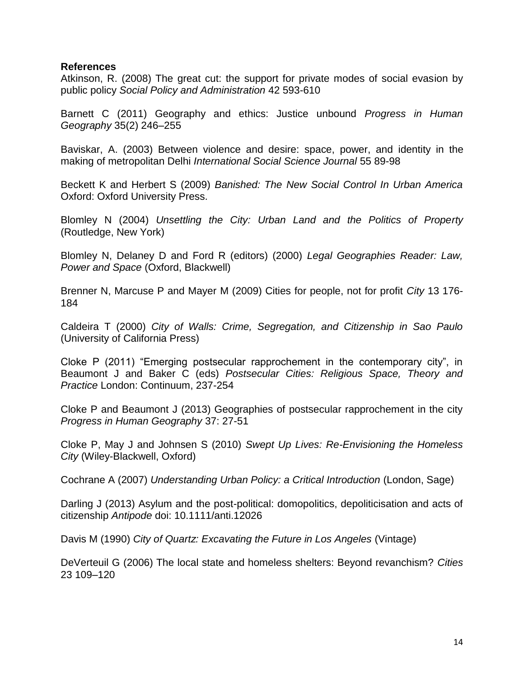## **References**

Atkinson, R. (2008) The great cut: the support for private modes of social evasion by public policy *Social Policy and Administration* 42 593-610

Barnett C (2011) Geography and ethics: Justice unbound *Progress in Human Geography* 35(2) 246–255

Baviskar, A. (2003) Between violence and desire: space, power, and identity in the making of metropolitan Delhi *International Social Science Journal* 55 89-98

Beckett K and Herbert S (2009) *Banished: The New Social Control In Urban America* Oxford: Oxford University Press.

Blomley N (2004) *Unsettling the City: Urban Land and the Politics of Property* (Routledge, New York)

Blomley N, Delaney D and Ford R (editors) (2000) *Legal Geographies Reader: Law, Power and Space* (Oxford, Blackwell)

Brenner N, Marcuse P and Mayer M (2009) Cities for people, not for profit *City* 13 176- 184

Caldeira T (2000) *City of Walls: Crime, Segregation, and Citizenship in Sao Paulo* (University of California Press)

Cloke P (2011) "Emerging postsecular rapprochement in the contemporary city", in Beaumont J and Baker C (eds) *Postsecular Cities: Religious Space, Theory and Practice* London: Continuum, 237-254

Cloke P and Beaumont J (2013) Geographies of postsecular rapprochement in the city *Progress in Human Geography* 37: 27-51

Cloke P, May J and Johnsen S (2010) *Swept Up Lives: Re-Envisioning the Homeless City* (Wiley-Blackwell, Oxford)

Cochrane A (2007) *Understanding Urban Policy: a Critical Introduction* (London, Sage)

Darling J (2013) Asylum and the post-political: domopolitics, depoliticisation and acts of citizenship *Antipode* doi: 10.1111/anti.12026

Davis M (1990) *City of Quartz: Excavating the Future in Los Angeles* (Vintage)

DeVerteuil G (2006) The local state and homeless shelters: Beyond revanchism? *Cities* 23 109–120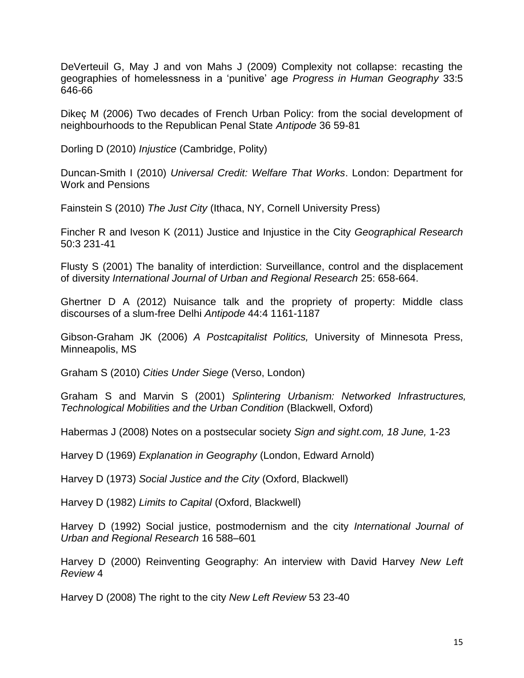DeVerteuil G, May J and von Mahs J (2009) Complexity not collapse: recasting the geographies of homelessness in a 'punitive' age *Progress in Human Geography* 33:5 646-66

Dikeç M (2006) Two decades of French Urban Policy: from the social development of neighbourhoods to the Republican Penal State *Antipode* 36 59-81

Dorling D (2010) *Injustice* (Cambridge, Polity)

Duncan-Smith I (2010) *Universal Credit: Welfare That Works*. London: Department for Work and Pensions

Fainstein S (2010) *The Just City* (Ithaca, NY, Cornell University Press)

Fincher R and Iveson K (2011) Justice and Injustice in the City *Geographical Research* 50:3 231-41

Flusty S (2001) The banality of interdiction: Surveillance, control and the displacement of diversity *International Journal of Urban and Regional Research* 25: 658-664.

Ghertner D A (2012) Nuisance talk and the propriety of property: Middle class discourses of a slum-free Delhi *Antipode* 44:4 1161-1187

Gibson-Graham JK (2006) *A Postcapitalist Politics,* University of Minnesota Press, Minneapolis, MS

Graham S (2010) *Cities Under Siege* (Verso, London)

Graham S and Marvin S (2001) *Splintering Urbanism: Networked Infrastructures, Technological Mobilities and the Urban Condition* (Blackwell, Oxford)

Habermas J (2008) Notes on a postsecular society *Sign and sight.com, 18 June,* 1-23

Harvey D (1969) *Explanation in Geography* (London, Edward Arnold)

Harvey D (1973) *Social Justice and the City* (Oxford, Blackwell)

Harvey D (1982) *Limits to Capital* (Oxford, Blackwell)

Harvey D (1992) Social justice, postmodernism and the city *International Journal of Urban and Regional Research* 16 588–601

Harvey D (2000) Reinventing Geography: An interview with David Harvey *New Left Review* 4

Harvey D (2008) The right to the city *New Left Review* 53 23-40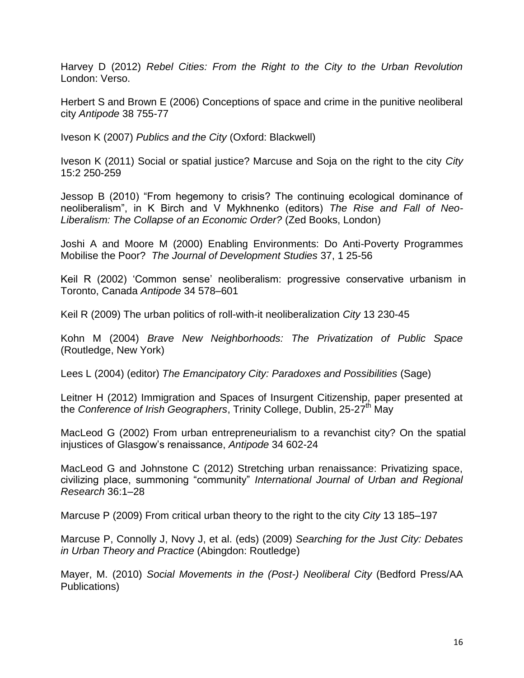Harvey D (2012) *Rebel Cities: From the Right to the City to the Urban Revolution*  London: Verso.

Herbert S and Brown E (2006) Conceptions of space and crime in the punitive neoliberal city *Antipode* 38 755-77

Iveson K (2007) *Publics and the City* (Oxford: Blackwell)

Iveson K (2011) Social or spatial justice? Marcuse and Soja on the right to the city *City*  15:2 250-259

Jessop B (2010) "From hegemony to crisis? The continuing ecological dominance of neoliberalism", in K Birch and V Mykhnenko (editors) *The Rise and Fall of Neo-Liberalism: The Collapse of an Economic Order?* (Zed Books, London)

Joshi A and Moore M (2000) Enabling Environments: Do Anti-Poverty Programmes Mobilise the Poor? *The Journal of Development Studies* 37, 1 25-56

Keil R (2002) 'Common sense' neoliberalism: progressive conservative urbanism in Toronto, Canada *Antipode* 34 578–601

Keil R (2009) The urban politics of roll-with-it neoliberalization *City* 13 230-45

Kohn M (2004) *Brave New Neighborhoods: The Privatization of Public Space* (Routledge, New York)

Lees L (2004) (editor) *The Emancipatory City: Paradoxes and Possibilities* (Sage)

Leitner H (2012) Immigration and Spaces of Insurgent Citizenship, paper presented at the *Conference of Irish Geographers*, Trinity College, Dublin, 25-27th May

MacLeod G (2002) From urban entrepreneurialism to a revanchist city? On the spatial injustices of Glasgow's renaissance, *Antipode* 34 602-24

MacLeod G and Johnstone C (2012) Stretching urban renaissance: Privatizing space, civilizing place, summoning "community" *International Journal of Urban and Regional Research* 36:1–28

Marcuse P (2009) From critical urban theory to the right to the city *City* 13 185–197

Marcuse P, Connolly J, Novy J, et al. (eds) (2009) *Searching for the Just City: Debates in Urban Theory and Practice* (Abingdon: Routledge)

Mayer, M. (2010) *Social Movements in the (Post-) Neoliberal City* (Bedford Press/AA Publications)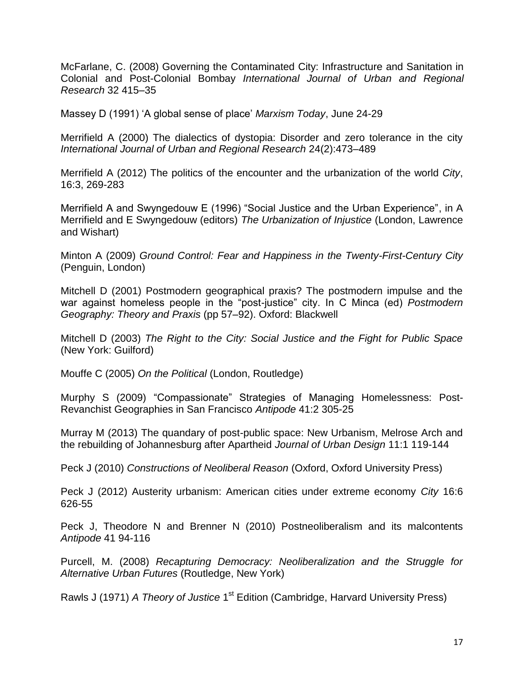McFarlane, C. (2008) Governing the Contaminated City: Infrastructure and Sanitation in Colonial and Post-Colonial Bombay *International Journal of Urban and Regional Research* 32 415–35

Massey D (1991) 'A global sense of place' *Marxism Today*, June 24-29

Merrifield A (2000) The dialectics of dystopia: Disorder and zero tolerance in the city *International Journal of Urban and Regional Research* 24(2):473–489

Merrifield A (2012) The politics of the encounter and the urbanization of the world *City*, 16:3, 269-283

Merrifield A and Swyngedouw E (1996) "Social Justice and the Urban Experience", in A Merrifield and E Swyngedouw (editors) *The Urbanization of Injustice* (London, Lawrence and Wishart)

Minton A (2009) *Ground Control: Fear and Happiness in the Twenty-First-Century City* (Penguin, London)

Mitchell D (2001) Postmodern geographical praxis? The postmodern impulse and the war against homeless people in the "post-justice" city. In C Minca (ed) *Postmodern Geography: Theory and Praxis* (pp 57–92). Oxford: Blackwell

Mitchell D (2003) *The Right to the City: Social Justice and the Fight for Public Space* (New York: Guilford)

Mouffe C (2005) *On the Political* (London, Routledge)

Murphy S (2009) "Compassionate" Strategies of Managing Homelessness: Post-Revanchist Geographies in San Francisco *Antipode* 41:2 305-25

Murray M (2013) The quandary of post-public space: New Urbanism, Melrose Arch and the rebuilding of Johannesburg after Apartheid *Journal of Urban Design* 11:1 119-144

Peck J (2010) *Constructions of Neoliberal Reason* (Oxford, Oxford University Press)

Peck J (2012) Austerity urbanism: American cities under extreme economy *City* 16:6 626-55

Peck J, Theodore N and Brenner N (2010) Postneoliberalism and its malcontents *Antipode* 41 94-116

Purcell, M. (2008) *Recapturing Democracy: Neoliberalization and the Struggle for Alternative Urban Futures* (Routledge, New York)

Rawls J (1971) A Theory of Justice 1<sup>st</sup> Edition (Cambridge, Harvard University Press)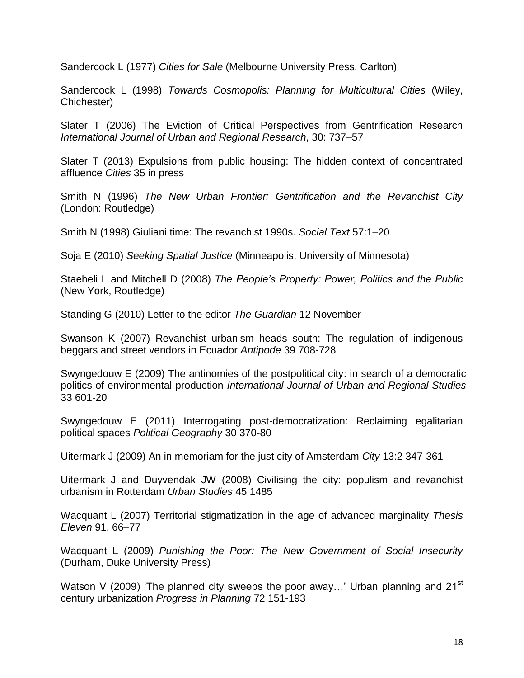Sandercock L (1977) *Cities for Sale* (Melbourne University Press, Carlton)

Sandercock L (1998) *Towards Cosmopolis: Planning for Multicultural Cities* (Wiley, Chichester)

Slater T (2006) The Eviction of Critical Perspectives from Gentrification Research *International Journal of Urban and Regional Research*, 30: 737–57

Slater T (2013) Expulsions from public housing: The hidden context of concentrated affluence *Cities* 35 in press

Smith N (1996) *The New Urban Frontier: Gentrification and the Revanchist City* (London: Routledge)

Smith N (1998) Giuliani time: The revanchist 1990s. *Social Text* 57:1–20

Soja E (2010) *Seeking Spatial Justice* (Minneapolis, University of Minnesota)

Staeheli L and Mitchell D (2008) *The People's Property: Power, Politics and the Public* (New York, Routledge)

Standing G (2010) Letter to the editor *The Guardian* 12 November

Swanson K (2007) Revanchist urbanism heads south: The regulation of indigenous beggars and street vendors in Ecuador *Antipode* 39 708-728

Swyngedouw E (2009) The antinomies of the postpolitical city: in search of a democratic politics of environmental production *International Journal of Urban and Regional Studies*  33 601-20

Swyngedouw E (2011) Interrogating post-democratization: Reclaiming egalitarian political spaces *Political Geography* 30 370-80

Uitermark J (2009) An in memoriam for the just city of Amsterdam *City* 13:2 347-361

Uitermark J and Duyvendak JW (2008) Civilising the city: populism and revanchist urbanism in Rotterdam *Urban Studies* 45 1485

Wacquant L (2007) Territorial stigmatization in the age of advanced marginality *Thesis Eleven* 91, 66–77

Wacquant L (2009) *Punishing the Poor: The New Government of Social Insecurity*  (Durham, Duke University Press)

Watson V (2009) 'The planned city sweeps the poor away...' Urban planning and  $21^{st}$ century urbanization *Progress in Planning* 72 151-193